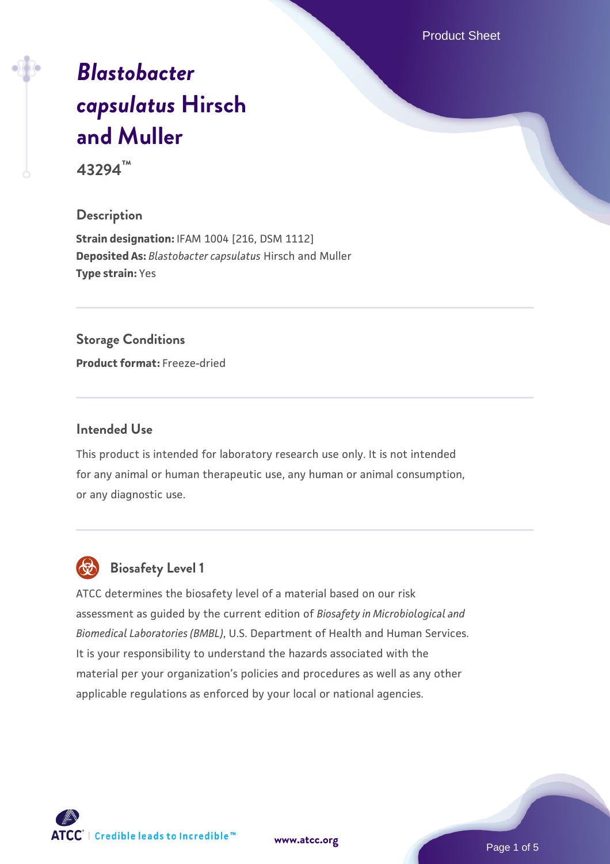Product Sheet

# *[Blastobacter](https://www.atcc.org/products/43294) [capsulatus](https://www.atcc.org/products/43294)* **[Hirsch](https://www.atcc.org/products/43294) [and Muller](https://www.atcc.org/products/43294)**

**43294™**

#### **Description**

**Strain designation:** IFAM 1004 [216, DSM 1112] **Deposited As:** *Blastobacter capsulatus* Hirsch and Muller **Type strain:** Yes

## **Storage Conditions**

**Product format:** Freeze-dried

#### **Intended Use**

This product is intended for laboratory research use only. It is not intended for any animal or human therapeutic use, any human or animal consumption, or any diagnostic use.



## **Biosafety Level 1**

ATCC determines the biosafety level of a material based on our risk assessment as guided by the current edition of *Biosafety in Microbiological and Biomedical Laboratories (BMBL)*, U.S. Department of Health and Human Services. It is your responsibility to understand the hazards associated with the material per your organization's policies and procedures as well as any other applicable regulations as enforced by your local or national agencies.

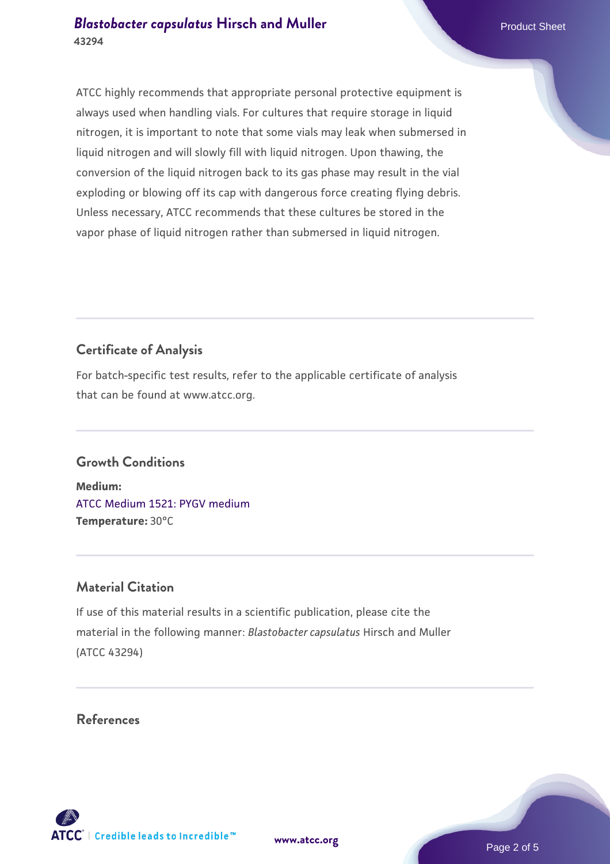ATCC highly recommends that appropriate personal protective equipment is always used when handling vials. For cultures that require storage in liquid nitrogen, it is important to note that some vials may leak when submersed in liquid nitrogen and will slowly fill with liquid nitrogen. Upon thawing, the conversion of the liquid nitrogen back to its gas phase may result in the vial exploding or blowing off its cap with dangerous force creating flying debris. Unless necessary, ATCC recommends that these cultures be stored in the vapor phase of liquid nitrogen rather than submersed in liquid nitrogen.

## **Certificate of Analysis**

For batch-specific test results, refer to the applicable certificate of analysis that can be found at www.atcc.org.

#### **Growth Conditions**

**Medium:**  [ATCC Medium 1521: PYGV medium](https://www.atcc.org/-/media/product-assets/documents/microbial-media-formulations/1/5/2/1/atcc-medium-1521.pdf?rev=407d8ad57f7444658bc97c4a418203ac) **Temperature:** 30°C

#### **Material Citation**

If use of this material results in a scientific publication, please cite the material in the following manner: *Blastobacter capsulatus* Hirsch and Muller (ATCC 43294)

#### **References**

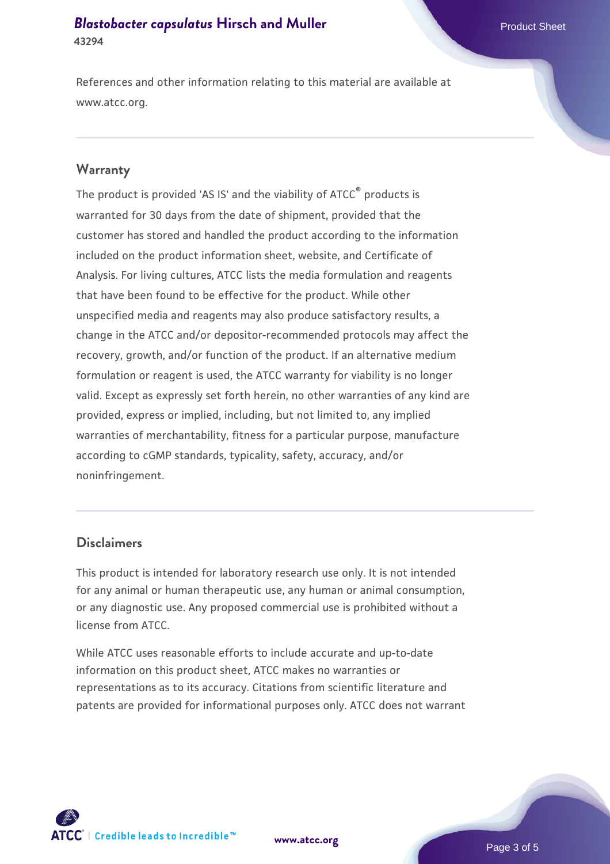References and other information relating to this material are available at www.atcc.org.

#### **Warranty**

The product is provided 'AS IS' and the viability of ATCC® products is warranted for 30 days from the date of shipment, provided that the customer has stored and handled the product according to the information included on the product information sheet, website, and Certificate of Analysis. For living cultures, ATCC lists the media formulation and reagents that have been found to be effective for the product. While other unspecified media and reagents may also produce satisfactory results, a change in the ATCC and/or depositor-recommended protocols may affect the recovery, growth, and/or function of the product. If an alternative medium formulation or reagent is used, the ATCC warranty for viability is no longer valid. Except as expressly set forth herein, no other warranties of any kind are provided, express or implied, including, but not limited to, any implied warranties of merchantability, fitness for a particular purpose, manufacture according to cGMP standards, typicality, safety, accuracy, and/or noninfringement.

#### **Disclaimers**

This product is intended for laboratory research use only. It is not intended for any animal or human therapeutic use, any human or animal consumption, or any diagnostic use. Any proposed commercial use is prohibited without a license from ATCC.

While ATCC uses reasonable efforts to include accurate and up-to-date information on this product sheet, ATCC makes no warranties or representations as to its accuracy. Citations from scientific literature and patents are provided for informational purposes only. ATCC does not warrant



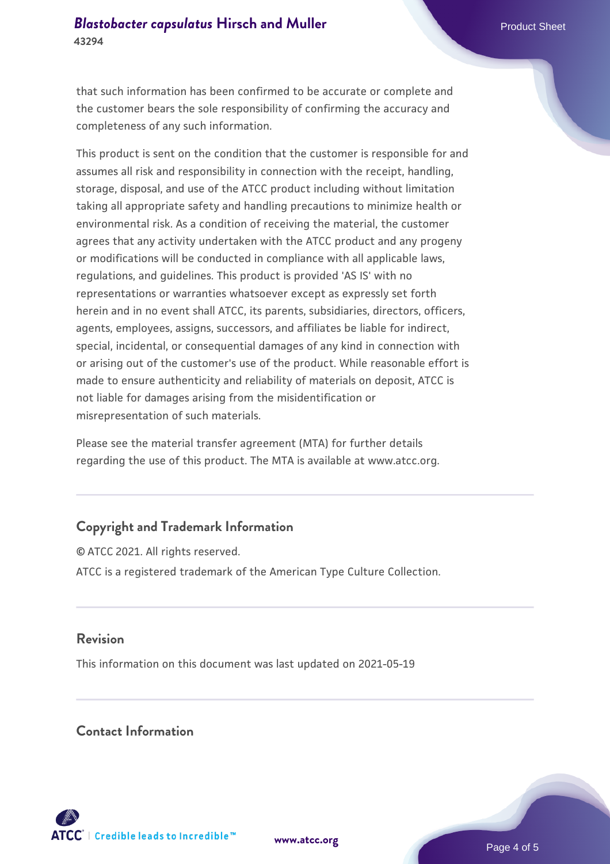that such information has been confirmed to be accurate or complete and the customer bears the sole responsibility of confirming the accuracy and completeness of any such information.

This product is sent on the condition that the customer is responsible for and assumes all risk and responsibility in connection with the receipt, handling, storage, disposal, and use of the ATCC product including without limitation taking all appropriate safety and handling precautions to minimize health or environmental risk. As a condition of receiving the material, the customer agrees that any activity undertaken with the ATCC product and any progeny or modifications will be conducted in compliance with all applicable laws, regulations, and guidelines. This product is provided 'AS IS' with no representations or warranties whatsoever except as expressly set forth herein and in no event shall ATCC, its parents, subsidiaries, directors, officers, agents, employees, assigns, successors, and affiliates be liable for indirect, special, incidental, or consequential damages of any kind in connection with or arising out of the customer's use of the product. While reasonable effort is made to ensure authenticity and reliability of materials on deposit, ATCC is not liable for damages arising from the misidentification or misrepresentation of such materials.

Please see the material transfer agreement (MTA) for further details regarding the use of this product. The MTA is available at www.atcc.org.

### **Copyright and Trademark Information**

© ATCC 2021. All rights reserved. ATCC is a registered trademark of the American Type Culture Collection.

#### **Revision**

This information on this document was last updated on 2021-05-19

#### **Contact Information**



**[www.atcc.org](http://www.atcc.org)**